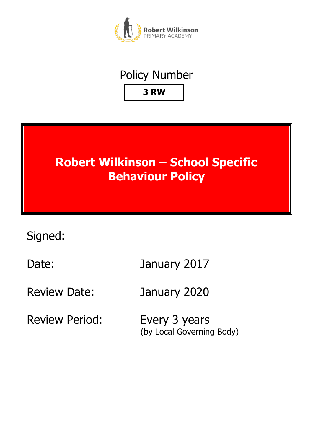

## Policy Number **3 RW**



Signed:

Date: January 2017

Review Date: January 2020

Review Period: Every 3 years

(by Local Governing Body)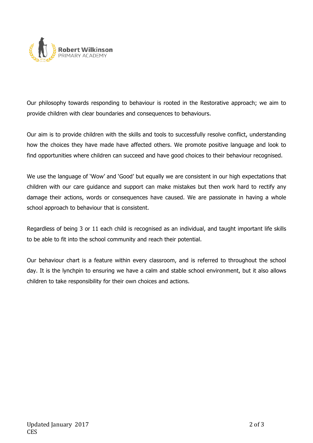

Our philosophy towards responding to behaviour is rooted in the Restorative approach; we aim to provide children with clear boundaries and consequences to behaviours.

Our aim is to provide children with the skills and tools to successfully resolve conflict, understanding how the choices they have made have affected others. We promote positive language and look to find opportunities where children can succeed and have good choices to their behaviour recognised.

We use the language of 'Wow' and 'Good' but equally we are consistent in our high expectations that children with our care guidance and support can make mistakes but then work hard to rectify any damage their actions, words or consequences have caused. We are passionate in having a whole school approach to behaviour that is consistent.

Regardless of being 3 or 11 each child is recognised as an individual, and taught important life skills to be able to fit into the school community and reach their potential.

Our behaviour chart is a feature within every classroom, and is referred to throughout the school day. It is the lynchpin to ensuring we have a calm and stable school environment, but it also allows children to take responsibility for their own choices and actions.